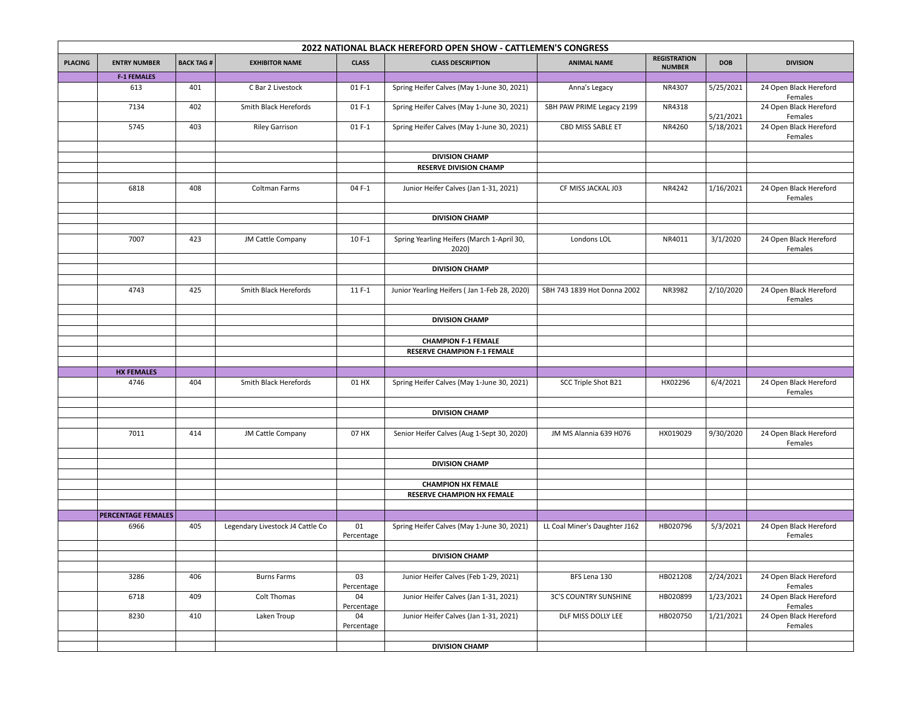| 2022 NATIONAL BLACK HEREFORD OPEN SHOW - CATTLEMEN'S CONGRESS |                           |                  |                                  |                  |                                                     |                               |                                      |            |                                   |
|---------------------------------------------------------------|---------------------------|------------------|----------------------------------|------------------|-----------------------------------------------------|-------------------------------|--------------------------------------|------------|-----------------------------------|
| <b>PLACING</b>                                                | <b>ENTRY NUMBER</b>       | <b>BACK TAG#</b> | <b>EXHIBITOR NAME</b>            | <b>CLASS</b>     | <b>CLASS DESCRIPTION</b>                            | <b>ANIMAL NAME</b>            | <b>REGISTRATION</b><br><b>NUMBER</b> | <b>DOB</b> | <b>DIVISION</b>                   |
|                                                               | <b>F-1 FEMALES</b>        |                  |                                  |                  |                                                     |                               |                                      |            |                                   |
|                                                               | 613                       | 401              | C Bar 2 Livestock                | $01F-1$          | Spring Heifer Calves (May 1-June 30, 2021)          | Anna's Legacy                 | NR4307                               | 5/25/2021  | 24 Open Black Hereford<br>Females |
|                                                               | 7134                      | 402              | Smith Black Herefords            | $01F-1$          | Spring Heifer Calves (May 1-June 30, 2021)          | SBH PAW PRIME Legacy 2199     | NR4318                               | 5/21/2021  | 24 Open Black Hereford<br>Females |
|                                                               | 5745                      | 403              | <b>Riley Garrison</b>            | $01F-1$          | Spring Heifer Calves (May 1-June 30, 2021)          | CBD MISS SABLE ET             | NR4260                               | 5/18/2021  | 24 Open Black Hereford<br>Females |
|                                                               |                           |                  |                                  |                  |                                                     |                               |                                      |            |                                   |
|                                                               |                           |                  |                                  |                  | <b>DIVISION CHAMP</b>                               |                               |                                      |            |                                   |
|                                                               |                           |                  |                                  |                  | <b>RESERVE DIVISION CHAMP</b>                       |                               |                                      |            |                                   |
|                                                               |                           |                  |                                  |                  |                                                     |                               |                                      |            |                                   |
|                                                               | 6818                      | 408              | Coltman Farms                    | 04 F-1           | Junior Heifer Calves (Jan 1-31, 2021)               | CF MISS JACKAL J03            | NR4242                               | 1/16/2021  | 24 Open Black Hereford<br>Females |
|                                                               |                           |                  |                                  |                  |                                                     |                               |                                      |            |                                   |
|                                                               |                           |                  |                                  |                  | <b>DIVISION CHAMP</b>                               |                               |                                      |            |                                   |
|                                                               |                           |                  |                                  |                  |                                                     |                               |                                      |            |                                   |
|                                                               | 7007                      | 423              | JM Cattle Company                | 10 F-1           | Spring Yearling Heifers (March 1-April 30,<br>2020) | Londons LOL                   | NR4011                               | 3/1/2020   | 24 Open Black Hereford<br>Females |
|                                                               |                           |                  |                                  |                  |                                                     |                               |                                      |            |                                   |
|                                                               |                           |                  |                                  |                  | <b>DIVISION CHAMP</b>                               |                               |                                      |            |                                   |
|                                                               |                           |                  |                                  |                  |                                                     |                               |                                      |            |                                   |
|                                                               | 4743                      | 425              | Smith Black Herefords            | $11F-1$          | Junior Yearling Heifers (Jan 1-Feb 28, 2020)        | SBH 743 1839 Hot Donna 2002   | NR3982                               | 2/10/2020  | 24 Open Black Hereford<br>Females |
|                                                               |                           |                  |                                  |                  |                                                     |                               |                                      |            |                                   |
|                                                               |                           |                  |                                  |                  | <b>DIVISION CHAMP</b>                               |                               |                                      |            |                                   |
|                                                               |                           |                  |                                  |                  |                                                     |                               |                                      |            |                                   |
|                                                               |                           |                  |                                  |                  | <b>CHAMPION F-1 FEMALE</b>                          |                               |                                      |            |                                   |
|                                                               |                           |                  |                                  |                  | <b>RESERVE CHAMPION F-1 FEMALE</b>                  |                               |                                      |            |                                   |
|                                                               |                           |                  |                                  |                  |                                                     |                               |                                      |            |                                   |
|                                                               | <b>HX FEMALES</b>         |                  |                                  |                  |                                                     |                               |                                      |            |                                   |
|                                                               | 4746                      | 404              | Smith Black Herefords            | 01 HX            | Spring Heifer Calves (May 1-June 30, 2021)          | SCC Triple Shot B21           | HX02296                              | 6/4/2021   | 24 Open Black Hereford<br>Females |
|                                                               |                           |                  |                                  |                  |                                                     |                               |                                      |            |                                   |
|                                                               |                           |                  |                                  |                  | <b>DIVISION CHAMP</b>                               |                               |                                      |            |                                   |
|                                                               |                           |                  |                                  |                  |                                                     |                               |                                      |            |                                   |
|                                                               | 7011                      | 414              | JM Cattle Company                | 07 HX            | Senior Heifer Calves (Aug 1-Sept 30, 2020)          | JM MS Alannia 639 H076        | HX019029                             | 9/30/2020  | 24 Open Black Hereford<br>Females |
|                                                               |                           |                  |                                  |                  |                                                     |                               |                                      |            |                                   |
|                                                               |                           |                  |                                  |                  | <b>DIVISION CHAMP</b>                               |                               |                                      |            |                                   |
|                                                               |                           |                  |                                  |                  |                                                     |                               |                                      |            |                                   |
|                                                               |                           |                  |                                  |                  | <b>CHAMPION HX FEMALE</b>                           |                               |                                      |            |                                   |
|                                                               |                           |                  |                                  |                  | <b>RESERVE CHAMPION HX FEMALE</b>                   |                               |                                      |            |                                   |
|                                                               |                           |                  |                                  |                  |                                                     |                               |                                      |            |                                   |
|                                                               | <b>PERCENTAGE FEMALES</b> |                  |                                  |                  |                                                     |                               |                                      |            |                                   |
|                                                               | 6966                      | 405              | Legendary Livestock J4 Cattle Co | 01<br>Percentage | Spring Heifer Calves (May 1-June 30, 2021)          | LL Coal Miner's Daughter J162 | HB020796                             | 5/3/2021   | 24 Open Black Hereford<br>Females |
|                                                               |                           |                  |                                  |                  |                                                     |                               |                                      |            |                                   |
|                                                               |                           |                  |                                  |                  | <b>DIVISION CHAMP</b>                               |                               |                                      |            |                                   |
|                                                               |                           |                  |                                  |                  |                                                     |                               |                                      |            |                                   |
|                                                               | 3286                      | 406              | <b>Burns Farms</b>               | 03<br>Percentage | Junior Heifer Calves (Feb 1-29, 2021)               | BFS Lena 130                  | HB021208                             | 2/24/2021  | 24 Open Black Hereford<br>Females |
|                                                               | 6718                      | 409              | Colt Thomas                      | 04<br>Percentage | Junior Heifer Calves (Jan 1-31, 2021)               | <b>3C'S COUNTRY SUNSHINE</b>  | HB020899                             | 1/23/2021  | 24 Open Black Hereford<br>Females |
|                                                               | 8230                      | 410              | Laken Troup                      | 04<br>Percentage | Junior Heifer Calves (Jan 1-31, 2021)               | DLF MISS DOLLY LEE            | HB020750                             | 1/21/2021  | 24 Open Black Hereford<br>Females |
|                                                               |                           |                  |                                  |                  |                                                     |                               |                                      |            |                                   |
|                                                               |                           |                  |                                  |                  | <b>DIVISION CHAMP</b>                               |                               |                                      |            |                                   |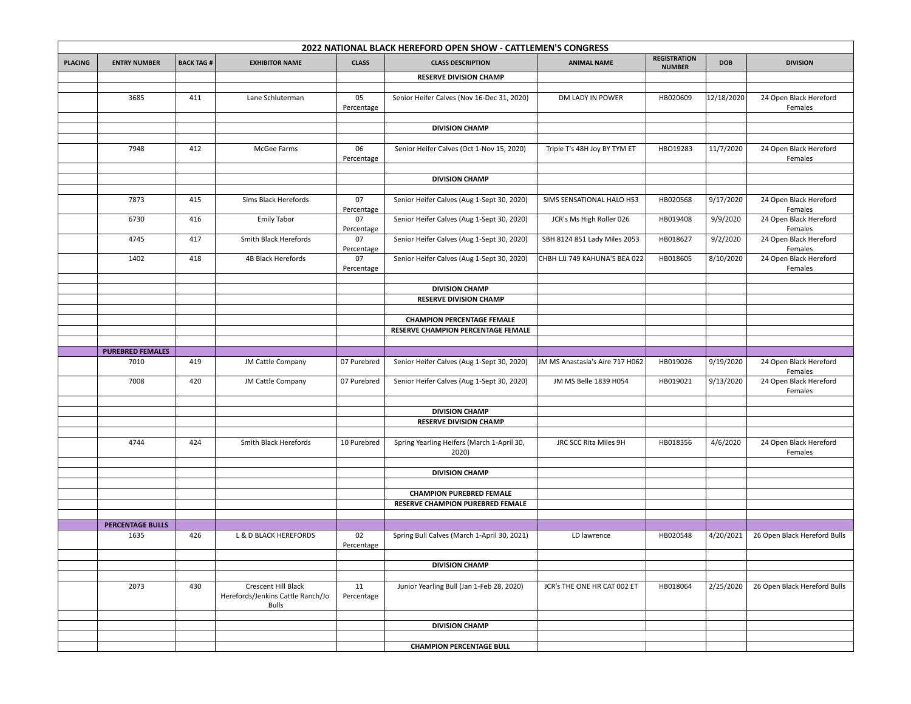| 2022 NATIONAL BLACK HEREFORD OPEN SHOW - CATTLEMEN'S CONGRESS |                         |                  |                                                                   |                  |                                                                         |                                 |                                      |            |                                   |
|---------------------------------------------------------------|-------------------------|------------------|-------------------------------------------------------------------|------------------|-------------------------------------------------------------------------|---------------------------------|--------------------------------------|------------|-----------------------------------|
| <b>PLACING</b>                                                | <b>ENTRY NUMBER</b>     | <b>BACK TAG#</b> | <b>EXHIBITOR NAME</b>                                             | <b>CLASS</b>     | <b>CLASS DESCRIPTION</b>                                                | <b>ANIMAL NAME</b>              | <b>REGISTRATION</b><br><b>NUMBER</b> | <b>DOB</b> | <b>DIVISION</b>                   |
|                                                               |                         |                  |                                                                   |                  | <b>RESERVE DIVISION CHAMP</b>                                           |                                 |                                      |            |                                   |
|                                                               |                         |                  |                                                                   |                  |                                                                         |                                 |                                      |            |                                   |
|                                                               | 3685                    | 411              | Lane Schluterman                                                  | 05<br>Percentage | Senior Heifer Calves (Nov 16-Dec 31, 2020)                              | DM LADY IN POWER                | HB020609                             | 12/18/2020 | 24 Open Black Hereford<br>Females |
|                                                               |                         |                  |                                                                   |                  |                                                                         |                                 |                                      |            |                                   |
|                                                               |                         |                  |                                                                   |                  | <b>DIVISION CHAMP</b>                                                   |                                 |                                      |            |                                   |
|                                                               | 7948                    | 412              | McGee Farms                                                       | 06<br>Percentage | Senior Heifer Calves (Oct 1-Nov 15, 2020)                               | Triple T's 48H Joy BY TYM ET    | HBO19283                             | 11/7/2020  | 24 Open Black Hereford<br>Females |
|                                                               |                         |                  |                                                                   |                  |                                                                         |                                 |                                      |            |                                   |
|                                                               |                         |                  |                                                                   |                  | <b>DIVISION CHAMP</b>                                                   |                                 |                                      |            |                                   |
|                                                               |                         |                  |                                                                   |                  |                                                                         |                                 |                                      |            |                                   |
|                                                               | 7873                    | 415              | Sims Black Herefords                                              | 07<br>Percentage | Senior Heifer Calves (Aug 1-Sept 30, 2020)                              | SIMS SENSATIONAL HALO H53       | HB020568                             | 9/17/2020  | 24 Open Black Hereford<br>Females |
|                                                               | 6730                    | 416              | <b>Emily Tabor</b>                                                | 07<br>Percentage | Senior Heifer Calves (Aug 1-Sept 30, 2020)                              | JCR's Ms High Roller 026        | HB019408                             | 9/9/2020   | 24 Open Black Hereford<br>Females |
|                                                               | 4745                    | 417              | Smith Black Herefords                                             | 07<br>Percentage | Senior Heifer Calves (Aug 1-Sept 30, 2020)                              | SBH 8124 851 Lady Miles 2053    | HB018627                             | 9/2/2020   | 24 Open Black Hereford<br>Females |
|                                                               | 1402                    | 418              | 4B Black Herefords                                                | 07<br>Percentage | Senior Heifer Calves (Aug 1-Sept 30, 2020)                              | CHBH LJJ 749 KAHUNA'S BEA 022   | HB018605                             | 8/10/2020  | 24 Open Black Hereford<br>Females |
|                                                               |                         |                  |                                                                   |                  |                                                                         |                                 |                                      |            |                                   |
|                                                               |                         |                  |                                                                   |                  | <b>DIVISION CHAMP</b>                                                   |                                 |                                      |            |                                   |
|                                                               |                         |                  |                                                                   |                  | <b>RESERVE DIVISION CHAMP</b>                                           |                                 |                                      |            |                                   |
|                                                               |                         |                  |                                                                   |                  |                                                                         |                                 |                                      |            |                                   |
|                                                               |                         |                  |                                                                   |                  | <b>CHAMPION PERCENTAGE FEMALE</b><br>RESERVE CHAMPION PERCENTAGE FEMALE |                                 |                                      |            |                                   |
|                                                               |                         |                  |                                                                   |                  |                                                                         |                                 |                                      |            |                                   |
|                                                               | <b>PUREBRED FEMALES</b> |                  |                                                                   |                  |                                                                         |                                 |                                      |            |                                   |
|                                                               | 7010                    | 419              | JM Cattle Company                                                 | 07 Purebred      | Senior Heifer Calves (Aug 1-Sept 30, 2020)                              | JM MS Anastasia's Aire 717 H062 | HB019026                             | 9/19/2020  | 24 Open Black Hereford<br>Females |
|                                                               | 7008                    | 420              | JM Cattle Company                                                 | 07 Purebred      | Senior Heifer Calves (Aug 1-Sept 30, 2020)                              | JM MS Belle 1839 H054           | HB019021                             | 9/13/2020  | 24 Open Black Hereford<br>Females |
|                                                               |                         |                  |                                                                   |                  |                                                                         |                                 |                                      |            |                                   |
|                                                               |                         |                  |                                                                   |                  | <b>DIVISION CHAMP</b>                                                   |                                 |                                      |            |                                   |
|                                                               |                         |                  |                                                                   |                  | <b>RESERVE DIVISION CHAMP</b>                                           |                                 |                                      |            |                                   |
|                                                               |                         |                  |                                                                   |                  |                                                                         |                                 |                                      |            |                                   |
|                                                               | 4744                    | 424              | Smith Black Herefords                                             | 10 Purebred      | Spring Yearling Heifers (March 1-April 30,<br>2020)                     | JRC SCC Rita Miles 9H           | HB018356                             | 4/6/2020   | 24 Open Black Hereford<br>Females |
|                                                               |                         |                  |                                                                   |                  | <b>DIVISION CHAMP</b>                                                   |                                 |                                      |            |                                   |
|                                                               |                         |                  |                                                                   |                  |                                                                         |                                 |                                      |            |                                   |
|                                                               |                         |                  |                                                                   |                  | <b>CHAMPION PUREBRED FEMALE</b>                                         |                                 |                                      |            |                                   |
|                                                               |                         |                  |                                                                   |                  | RESERVE CHAMPION PUREBRED FEMALE                                        |                                 |                                      |            |                                   |
|                                                               |                         |                  |                                                                   |                  |                                                                         |                                 |                                      |            |                                   |
|                                                               | <b>PERCENTAGE BULLS</b> |                  |                                                                   |                  |                                                                         |                                 |                                      |            |                                   |
|                                                               | 1635                    | 426              | L & D BLACK HEREFORDS                                             | 02<br>Percentage | Spring Bull Calves (March 1-April 30, 2021)                             | LD lawrence                     | HB020548                             | 4/20/2021  | 26 Open Black Hereford Bulls      |
|                                                               |                         |                  |                                                                   |                  |                                                                         |                                 |                                      |            |                                   |
|                                                               |                         |                  |                                                                   |                  | <b>DIVISION CHAMP</b>                                                   |                                 |                                      |            |                                   |
|                                                               | 2073                    | 430              | Crescent Hill Black<br>Herefords/Jenkins Cattle Ranch/Jo<br>Bulls | 11<br>Percentage | Junior Yearling Bull (Jan 1-Feb 28, 2020)                               | JCR's THE ONE HR CAT 002 ET     | HB018064                             | 2/25/2020  | 26 Open Black Hereford Bulls      |
|                                                               |                         |                  |                                                                   |                  |                                                                         |                                 |                                      |            |                                   |
|                                                               |                         |                  |                                                                   |                  | <b>DIVISION CHAMP</b>                                                   |                                 |                                      |            |                                   |
|                                                               |                         |                  |                                                                   |                  |                                                                         |                                 |                                      |            |                                   |
|                                                               |                         |                  |                                                                   |                  | <b>CHAMPION PERCENTAGE BULL</b>                                         |                                 |                                      |            |                                   |